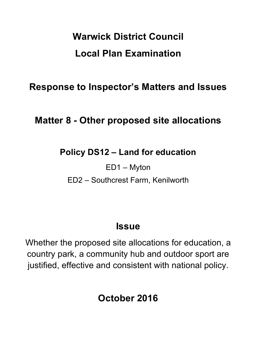# **Warwick District Council Local Plan Examination**

**Response to Inspector's Matters and Issues**

# **Matter 8 - Other proposed site allocations**

## **Policy DS12 – Land for education**

ED1 – Myton

ED2 – Southcrest Farm, Kenilworth

## **Issue**

Whether the proposed site allocations for education, a country park, a community hub and outdoor sport are justified, effective and consistent with national policy.

**October 2016**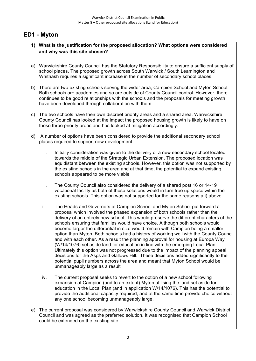### **ED1 - Myton**

#### **1) What is the justification for the proposed allocation? What options were considered and why was this site chosen?**

- a) Warwickshire County Council has the Statutory Responsibility to ensure a sufficient supply of school places. The proposed growth across South Warwick / South Leamington and Whitnash requires a significant increase in the number of secondary school places.
- b) There are two existing schools serving the wider area, Campion School and Myton School. Both schools are academies and so are outside of County Council control. However, there continues to be good relationships with the schools and the proposals for meeting growth have been developed through collaboration with them.
- c) The two schools have their own discreet priority areas and a shared area. Warwickshire County Council has looked at the impact the proposed housing growth is likely to have on these three priority areas and has looked at mitigation accordingly.
- d) A number of options have been considered to provide the additional secondary school places required to support new development:
	- i. Initially consideration was given to the delivery of a new secondary school located towards the middle of the Strategic Urban Extension. The proposed location was equidistant between the existing schools. However, this option was not supported by the existing schools in the area and at that time, the potential to expand existing schools appeared to be more viable
	- ii. The County Council also considered the delivery of a shared post 16 or 14-19 vocational facility as both of these solutions would in turn free up space within the existing schools. This option was not supported for the same reasons a i) above.
	- iii. The Heads and Governors of Campion School and Myton School put forward a proposal which involved the phased expansion of both schools rather than the delivery of an entirely new school. This would preserve the different characters of the schools ensuring that families would have choice. Although both schools would become larger the differential in size would remain with Campion being a smaller option than Myton. Both schools had a history of working well with the County Council and with each other. As a result the planning approval for housing at Europa Way (W/14/1076) set aside land for education in line with the emerging Local Plan. Ultimately this option was not progressed due to the impact of the planning appeal decisions for the Asps and Gallows Hill. These decisions added significantly to the potential pupil numbers across the area and meant that Myton School would be unmanageably large as a result
	- iv. The current proposal seeks to revert to the option of a new school following expansion at Campion (and to an extent) Myton utilising the land set aside for education in the Local Plan (and in application W/14/1076). This has the potential to provide the additional capacity required, and at the same time provide choice without any one school becoming unmanageably large.
- e) The current proposal was considered by Warwickshire County Council and Warwick District Council and was agreed as the preferred solution. It was recognised that Campion School could be extended on the existing site.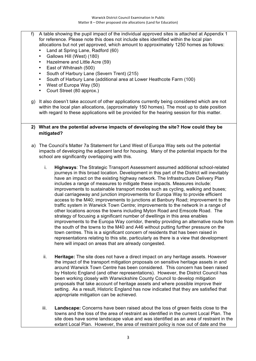- f) A table showing the pupil impact of the individual approved sites is attached at Appendix 1 for reference. Please note this does not include sites identified within the local plan allocations but not yet approved, which amount to approximately 1250 homes as follows:
	- Land at Spring Lane, Radford (60)
	- Gallows Hill (West) (180)
	- Hazelmere and Little Acre (59)
	- East of Whitnash (500)
	- South of Harbury Lane (Severn Trent) (215)
	- South of Harbury Lane (additional area at Lower Heathcote Farm (100)
	- West of Europa Way (50)
	- Court Street (80 approx.)
- g) It also doesn't take account of other applications currently being considered which are not within the local plan allocations, (approximately 150 homes). The most up to date position with regard to these applications will be provided for the hearing session for this matter.

#### **2) What are the potential adverse impacts of developing the site? How could they be mitigated?**

- a) The Council's Matter 7a Statement for Land West of Europa Way sets out the potential impacts of developing the adjacent land for housing. Many of the potential impacts for the school are significantly overlapping with this.
	- i. **Highways**: The Strategic Transport Assessment assumed additional school-related journeys in this broad location. Development in this part of the District will inevitably have an impact on the existing highway network. The Infrastructure Delivery Plan includes a range of measures to mitigate these impacts. Measures include: improvements to sustainable transport modes such as cycling, walking and buses; dual carriageway and junction improvements for Europa Way to provide efficient access to the M40; improvements to junctions at Banbury Road; improvement to the traffic system in Warwick Town Centre; improvements to the network in a range of other locations across the towns including Myton Road and Emscote Road. The strategy of focusing a significant number of dwellings in this area enables improvements to the Europa Way corridor, thereby providing an alternative route from the south of the towns to the M40 and A46 without putting further pressure on the town centres. This is a significant concern of residents that has been raised in representations relating to this site, particularly as there is a view that development here will impact on areas that are already congested.
	- ii. **Heritage:** The site does not have a direct impact on any heritage assets. However the impact of the transport mitigation proposals on sensitive heritage assets in and around Warwick Town Centre has been considered. This concern has been raised by Historic England (and other representations). However, the District Council has been working closely with Warwickshire County Council to develop mitigation proposals that take account of heritage assets and where possible improve their setting. As a result, Historic England has now indicated that they are satisfied that appropriate mitigation can be achieved.
	- iii. **Landscape:** Concerns have been raised about the loss of green fields close to the towns and the loss of the area of restraint as identified in the current Local Plan. The site does have some landscape value and was identified as an area of restraint in the extant Local Plan. However, the area of restraint policy is now out of date and the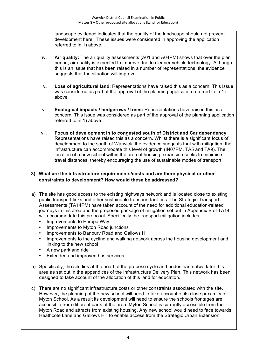landscape evidence indicates that the quality of the landscape should not prevent development here. These issues were considered in approving the application referred to in 1) above.

- iv. **Air quality:** The air quality assessments (A01 and A04PM) shows that over the plan period, air quality is expected to improve due to cleaner vehicle technology. Although this is an issue that has been raised in a number of representations, the evidence suggests that the situation will improve.
- v. **Loss of agricultural land**: Representations have raised this as a concern. This issue was considered as part of the approval of the planning application referred to in 1) above.
- vi. **Ecological impacts / hedgerows / trees:** Representations have raised this as a concern. This issue was considered as part of the approval of the planning application referred to in 1) above.
- vii. **Focus of development in to congested south of District and Car dependency**: Representations have raised this as a concern. Whilst there is a significant focus of development to the south of Warwick, the evidence suggests that with mitigation, the infrastructure can accommodate this level of growth (IN07PM, TA5 and TA9). The location of a new school within the area of housing expansion seeks to minimise travel distances, thereby encouraging the use of sustainable modes of transport.

#### **3) What are the infrastructure requirements/costs and are there physical or other constraints to development? How would these be addressed?**

- a) The site has good access to the existing highways network and is located close to existing public transport links and other sustainable transport facilities. The Strategic Transport Assessments (TA14PM) have taken account of the need for additional education-related journeys in this area and the proposed package of mitigation set out in Appendix B of TA14 will accommodate this proposal. Specifically the transport mitigation includes:
	- Improvements to Europa Way
	- Improvements to Myton Road junctions
	- Improvements to Banbury Road and Gallows Hill
	- Improvements to the cycling and walking network across the housing development and linking to the new school
	- A new park and ride
	- Extended and improved bus services
- b) Specifically, the site lies at the heart of the propose cycle and pedestrian network for this area as set out in the appendices of the Infrastructure Delivery Plan. This network has been designed to take account of the allocation of this land for education.
- c) There are no significant infrastructure costs or other constraints associated with the site. However, the planning of the new school will need to take account of its close proximity to Myton School. As a result its development will need to ensure the schools frontages are accessible from different parts of the area. Myton School is currently accessible from the Myton Road and attracts from existing housing. Any new school would need to face towards Heathcote Lane and Gallows Hill to enable access from the Strategic Urban Extension.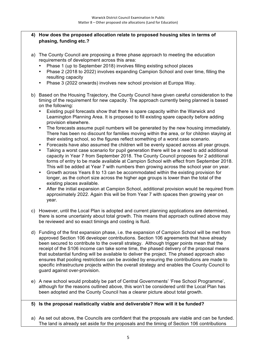#### **4) How does the proposed allocation relate to proposed housing sites in terms of phasing, funding etc.?**

- a) The County Council are proposing a three phase approach to meeting the education requirements of development across this area:
	- Phase 1 (up to September 2018) involves filling existing school places
	- Phase 2 (2018 to 2022) involves expanding Campion School and over time, filling the resulting capacity
	- Phase 3 (2022 onwards) involves new school provision at Europa Way.
- b) Based on the Housing Trajectory, the County Council have given careful consideration to the timing of the requirement for new capacity. The approach currently being planned is based on the following:
	- Existing pupil forecasts show that there is spare capacity within the Warwick and Leamington Planning Area. It is proposed to fill existing spare capacity before adding provision elsewhere.
	- The forecasts assume pupil numbers will be generated by the new housing immediately. There has been no discount for families moving within the area, or for children staying at their existing school, so the figures reflect something of a worst case scenario.
	- Forecasts have also assumed the children will be evenly spaced across all year groups.
	- Taking a worst case scenario for pupil generation there will be a need to add additional capacity in Year 7 from September 2018. The County Council proposes for 2 additional forms of entry to be made available at Campion School with effect from September 2018. This will be added at Year 7 with numbers then growing across the school year on year.
	- Growth across Years 8 to 13 can be accommodated within the existing provision for longer, as the cohort size across the higher age groups is lower than the total of the existing places available.
	- After the initial expansion at Campion School, additional provision would be required from approximately 2022. Again this will be from Year 7 with spaces then growing year on year.
- c) However, until the Local Plan is adopted and current planning applications are determined, there is some uncertainty about total growth. This means that approach outlined above may be reviewed and so exact timings and costing is fluid.
- d) Funding of the first expansion phase, i.e. the expansion of Campion School will be met from approved Section 106 developer contributions. Section 106 agreements that have already been secured to contribute to the overall strategy. Although trigger points mean that the receipt of the S106 income can take some time, the phased delivery of the proposal means that substantial funding will be available to deliver the project. The phased approach also ensures that pooling restrictions can be avoided by ensuring the contributions are made to specific infrastructure projects within the overall strategy and enables the County Council to guard against over-provision.
- e) A new school would probably be part of Central Governments' 'Free School Programme', although for the reasons outlined above, this won't be considered until the Local Plan has been adopted and the County Council has a clearer picture about total growth.

#### **5) Is the proposal realistically viable and deliverable? How will it be funded?**

a) As set out above, the Councils are confident that the proposals are viable and can be funded. The land is already set aside for the proposals and the timing of Section 106 contributions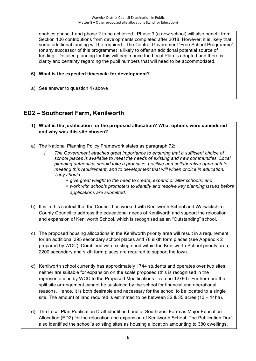enables phase 1 and phase 2 to be achieved. Phase 3 (a new school) will also benefit from Section 106 contributions from developments completed after 2018. However, it is likely that some additional funding will be required. The Central Government 'Free School Programme' (or any successor of this programme) is likely to offer an additional potential source of funding. Detailed planning for this will begin once the Local Plan is adopted and there is clarity and certainty regarding the pupil numbers that will need to be accommodated.

#### **6) What is the expected timescale for development?**

a) See answer to question 4) above

### **ED2 – Southcrest Farm, Kenilworth**

- **1) What is the justification for the proposed allocation? What options were considered and why was this site chosen?**
- a) The National Planning Policy Framework states as paragraph 72:
	- *i. The Government attaches great importance to ensuring that a sufficient choice of school places is available to meet the needs of existing and new communities. Local planning authorities should take a proactive, positive and collaborative approach to meeting this requirement, and to development that will widen choice in education. They should:*
		- *give great weight to the need to create, expand or alter schools; and*
		- *work with schools promoters to identify and resolve key planning issues before applications are submitted.*
- b) It is in this context that the Council has worked with Kenilworth School and Warwickshire County Council to address the educational needs of Kenilworth and support the relocation and expansion of Kenilworth School, which is recognised as an "Outstanding" school.
- c) The proposed housing allocations in the Kenilworth priority area will result in a requirement for an additional 395 secondary school places and 78 sixth form places (see Appendix 2 prepared by WCC). Combined with existing need within the Kenilworth School priority area, 2200 secondary and sixth form places are required to support the town.
- d) Kenilworth school currently has approximately 1744 students and operates over two sites; neither are suitable for expansion on the scale proposed (this is recognised in the representations by WCC to the Proposed Modifications – rep no.12790). Furthermore the split site arrangement cannot be sustained by the school for financial and operational reasons. Hence, it is both desirable and necessary for the school to be located to a single site. The amount of land required is estimated to be between 32 & 35 acres (13 – 14ha).
- e) The Local Plan Publication Draft identified Land at Southcrest Farm as Major Education Allocation (ED2) for the relocation and expansion of Kenilworth School. The Publication Draft also identified the school's existing sites as housing allocation amounting to 380 dwellings.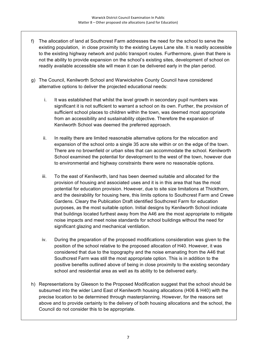- f) The allocation of land at Southcrest Farm addresses the need for the school to serve the existing population, in close proximity to the existing Leyes Lane site. It is readily accessible to the existing highway network and public transport routes. Furthermore, given that there is not the ability to provide expansion on the school's existing sites, development of school on readily available accessible site will mean it can be delivered early in the plan period.
- g) The Council, Kenilworth School and Warwickshire County Council have considered alternative options to deliver the projected educational needs:
	- i. It was established that whilst the level growth in secondary pupil numbers was significant it is not sufficient to warrant a school on its own. Further, the provision of sufficient school places to children within the town, was deemed most appropriate from an accessibility and sustainability objective. Therefore the expansion of Kenilworth School was deemed the preferred approach.
	- ii. In reality there are limited reasonable alternative options for the relocation and expansion of the school onto a single 35 acre site within or on the edge of the town. There are no brownfield or urban sites that can accommodate the school. Kenilworth School examined the potential for development to the west of the town, however due to environmental and highway constraints there were no reasonable options.
	- iii. To the east of Kenilworth, land has been deemed suitable and allocated for the provision of housing and associated uses and it is in this area that has the most potential for education provision. However, due to site size limitations at Thickthorn, and the desirability for housing here, this limits options to Southcrest Farm and Crewe Gardens. Cleary the Publication Draft identified Southcrest Farm for education purposes, as the most suitable option. Initial designs by Kenilworth School indicate that buildings located furthest away from the A46 are the most appropriate to mitigate noise impacts and meet noise standards for school buildings without the need for significant glazing and mechanical ventilation.
	- iv. During the preparation of the proposed modifications consideration was given to the position of the school relative to the proposed allocation of H40. However, it was considered that due to the topography and the noise emanating from the A46 that Southcrest Farm was still the most appropriate option. This is in addition to the positive benefits outlined above of being in close proximity to the existing secondary school and residential area as well as its ability to be delivered early.
- h) Representations by Gleeson to the Proposed Modification suggest that the school should be subsumed into the wider Land East of Kenilworth housing allocations (H06 & H40) with the precise location to be determined through masterplanning. However, for the reasons set above and to provide certainty to the delivery of both housing allocations and the school, the Council do not consider this to be appropriate.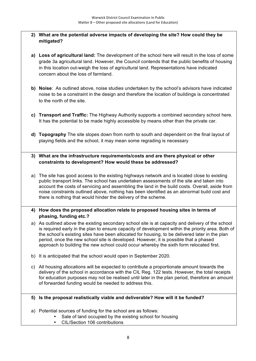#### **2) What are the potential adverse impacts of developing the site? How could they be mitigated?**

- **a) Loss of agricultural land:** The development of the school here will result in the loss of some grade 3a agricultural land. However, the Council contends that the public benefits of housing in this location out-weigh the loss of agricultural land. Representations have indicated concern about the loss of farmland.
- **b) Noise**: As outlined above, noise studies undertaken by the school's advisors have indicated noise to be a constraint in the design and therefore the location of buildings is concentrated to the north of the site.
- **c) Transport and Traffic:** The Highway Authority supports a combined secondary school here. It has the potential to be made highly accessible by means other than the private car.
- **d) Topography** The site slopes down from north to south and dependent on the final layout of playing fields and the school, it may mean some regrading is necessary
- **3) What are the infrastructure requirements/costs and are there physical or other constraints to development? How would these be addressed?**
- a) The site has good access to the existing highways network and is located close to existing public transport links. The school has undertaken assessments of the site and taken into account the costs of servicing and assembling the land in the build costs. Overall, aside from noise constraints outlined above, nothing has been identified as an abnormal build cost and there is nothing that would hinder the delivery of the scheme.

#### **4) How does the proposed allocation relate to proposed housing sites in terms of phasing, funding etc.?**

- a) As outlined above the existing secondary school site is at capacity and delivery of the school is required early in the plan to ensure capacity of development within the priority area. Both of the school's existing sites have been allocated for housing, to be delivered later in the plan period, once the new school site is developed. However, it is possible that a phased approach to building the new school could occur whereby the sixth form relocated first.
- b) It is anticipated that the school would open in September 2020.
- c) All housing allocations will be expected to contribute a proportionate amount towards the delivery of the school in accordance with the CIL Reg. 122 tests. However, the total receipts for education purposes may not be realised until later in the plan period, therefore an amount of forwarded funding would be needed to address this.

#### **5) Is the proposal realistically viable and deliverable? How will it be funded?**

- a) Potential sources of funding for the school are as follows:
	- Sale of land occupied by the existing school for housing
	- CIL/Section 106 contributions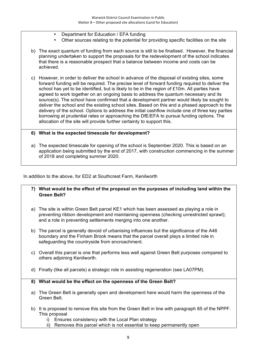- Department for Education / EFA funding
- Other sources relating to the potential for providing specific facilities on the site
- b) The exact quantum of funding from each source is still to be finalised. However, the financial planning undertaken to support the proposals for the redevelopment of the school indicates that there is a reasonable prospect that a balance between income and costs can be achieved.
- c) However, in order to deliver the school in advance of the disposal of existing sites, some forward funding will be required. The precise level of forward funding required to deliver the school has yet to be identified, but is likely to be in the region of £10m. All parties have agreed to work together on an ongoing basis to address the quantum necessary and its source(s). The school have confirmed that a development partner would likely be sought to deliver the school and the existing school sites. Based on this and a phased approach to the delivery of the school. Options to address the initial cashflow include one of three key parties borrowing at prudential rates or approaching the DfE/EFA to pursue funding options. The allocation of the site will provide further certainty to support this.

#### **6) What is the expected timescale for development?**

a) The expected timescale for opening of the school is September 2020. This is based on an application being submitted by the end of 2017, with construction commencing in the summer of 2018 and completing summer 2020.

In addition to the above, for ED2 at Southcrest Farm, Kenilworth

#### **7) What would be the effect of the proposal on the purposes of including land within the Green Belt?**

- a) The site is within Green Belt parcel KE1 which has been assessed as playing a role in preventing ribbon development and maintaining openness (checking unrestricted sprawl); and a role in preventing settlements merging into one another.
- b) The parcel is generally devoid of urbanising influences but the significance of the A46 boundary and the Finham Brook means that the parcel overall plays a limited role in safeguarding the countryside from encroachment.
- c) Overall this parcel is one that performs less well against Green Belt purposes compared to others adjoining Kenilworth.
- d) Finally (like all parcels) a strategic role in assisting regeneration (see LA07PM).

#### **8) What would be the effect on the openness of the Green Belt?**

- a) The Green Belt is generally open and development here would harm the openness of the Green Belt.
- b) It is proposed to remove this site from the Green Belt in line with paragraph 85 of the NPPF. This proposal
	- i) Ensures consistency with the Local Plan strategy
	- ii) Removes this parcel which is not essential to keep permanently open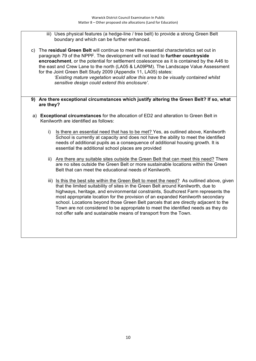- iii) Uses physical features (a hedge-line / tree belt) to provide a strong Green Belt boundary and which can be further enhanced.
- c) The **residual Green Belt** will continue to meet the essential characteristics set out in paragraph 79 of the NPPF. The development will not lead to **further countryside encroachment**, or the potential for settlement coalescence as it is contained by the A46 to the east and Crew Lane to the north (LA05 & LA09PM). The Landscape Value Assessment for the Joint Green Belt Study 2009 (Appendix 11, LA05) states:

*'Existing mature vegetation would allow this area to be visually contained whilst sensitive design could extend this enclosure'*.

- **9) Are there exceptional circumstances which justify altering the Green Belt? If so, what are they?**
- a) **Exceptional circumstances** for the allocation of ED2 and alteration to Green Belt in Kenilworth are identified as follows:
	- i) Is there an essential need that has to be met? Yes, as outlined above, Kenilworth School is currently at capacity and does not have the ability to meet the identified needs of additional pupils as a consequence of additional housing growth. It is essential the additional school places are provided
	- ii) Are there any suitable sites outside the Green Belt that can meet this need? There are no sites outside the Green Belt or more sustainable locations within the Green Belt that can meet the educational needs of Kenilworth.
	- iii) Is this the best site within the Green Belt to meet the need? As outlined above, given that the limited suitability of sites in the Green Belt around Kenilworth, due to highways, heritage, and environmental constraints, Southcrest Farm represents the most appropriate location for the provision of an expanded Kenilworth secondary school. Locations beyond those Green Belt parcels that are directly adjacent to the Town are not considered to be appropriate to meet the identified needs as they do not offer safe and sustainable means of transport from the Town.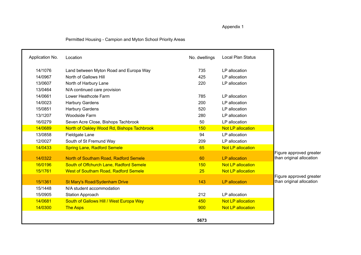Appendix 1

#### Permitted Housing - Campion and Myton School Priority Areas

| Application No. | Location                                    | No. dwellings | Local Plan Status        |                                                     |
|-----------------|---------------------------------------------|---------------|--------------------------|-----------------------------------------------------|
| 14/1076         | Land between Myton Road and Europa Way      | 735           | LP allocation            |                                                     |
| 14/0967         | North of Gallows Hill                       | 425           | LP allocation            |                                                     |
| 13/0607         | North of Harbury Lane                       | 220           | LP allocation            |                                                     |
| 13/0464         | N/A continued care provision                |               |                          |                                                     |
| 14/0661         | Lower Heathcote Farm                        | 785           | LP allocation            |                                                     |
| 14/0023         | Harbury Gardens                             | 200           | LP allocation            |                                                     |
| 15/0851         | <b>Harbury Gardens</b>                      | 520           | LP allocation            |                                                     |
| 13/1207         | <b>Woodside Farm</b>                        | 280           | LP allocation            |                                                     |
| 16/0279         | Seven Acre Close, Bishops Tachbrook         | 50            | LP allocation            |                                                     |
| 14/0689         | North of Oakley Wood Rd, Bishops Tachbrook  | 150           | <b>Not LP allocation</b> |                                                     |
| 13/0858         | Fieldgate Lane                              | 94            | LP allocation            |                                                     |
| 12/0027         | South of St Fremund Way                     | 209           | LP allocation            |                                                     |
| 14/0433         | <b>Spring Lane, Radford Semele</b>          | 65            | Not LP allocation        |                                                     |
|                 |                                             |               |                          | Figure approved greater                             |
| 14/0322         | North of Southam Road, Radford Semele       | 60            | <b>LP</b> allocation     | than original allocation                            |
| 16/0196         | South of Offchurch Lane, Radford Semele     | 150           | <b>Not LP allocation</b> |                                                     |
| 15/1761         | <b>West of Southam Road, Radford Semele</b> | 25            | Not LP allocation        |                                                     |
| 15/1361         | <b>St Mary's Road/Sydenham Drive</b>        | 143           | <b>LP</b> allocation     | Figure approved greater<br>than original allocation |
| 15/1448         | N/A student accommodation                   |               |                          |                                                     |
| 15/0905         | <b>Station Approach</b>                     | 212           | LP allocation            |                                                     |
| 14/0681         | South of Gallows Hill / West Europa Way     | 450           | <b>Not LP allocation</b> |                                                     |
| 14/0300         | <b>The Asps</b>                             | 900           | <b>Not LP allocation</b> |                                                     |
|                 |                                             | 5673          |                          |                                                     |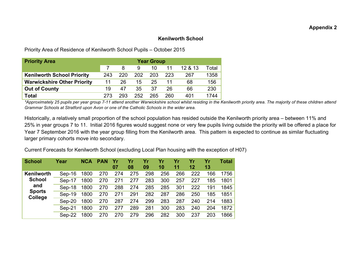#### **Appendix 2**

#### **Kenilworth School**

Priority Area of Residence of Kenilworth School Pupils – October 2015

| <b>Priority Area</b>               | <b>Year Group</b> |     |     |     |     |         |       |
|------------------------------------|-------------------|-----|-----|-----|-----|---------|-------|
|                                    |                   | 8   | 9   | 10  | 11  | 12 & 13 | Total |
| <b>Kenilworth School Priority</b>  | 243               | 220 | 202 | 203 | 223 | 267     | 1358  |
| <b>Warwickshire Other Priority</b> | 11                | 26  | 15  | 25  |     | 68      | 156   |
| <b>Out of County</b>               | 19                | 47  | 35  | 37  | 26  | 66      | 230   |
| <b>Total</b>                       | 273               | 293 | 252 | 265 | 260 | 401     | 1744  |

*\*Approximately 25 pupils per year group 7-11 attend another Warwickshire school whilst residing in the Kenilworth priority area. The majority of these children attend Grammar Schools at Stratford upon Avon or one of the Catholic Schools in the wider area.* 

Historically, a relatively small proportion of the school population has resided outside the Kenilworth priority area – between 11% and 25% in year groups 7 to 11. Initial 2016 figures would suggest none or very few pupils living outside the priority will be offered a place for Year 7 September 2016 with the year group filling from the Kenilworth area. This pattern is expected to continue as similar fluctuating larger primary cohorts move into secondary.

Current Forecasts for Kenilworth School (excluding Local Plan housing with the exception of H07)

| <b>School</b>            | Year     | <b>NCA</b> | <b>PAN</b> | 07  | Yr<br>08 | Yr<br>09 | 10  | Υr<br>11 | 12  | Yr<br>13 | Total |
|--------------------------|----------|------------|------------|-----|----------|----------|-----|----------|-----|----------|-------|
| Kenilworth               | Sep-16   | 1800       | 270        | 274 | 275      | 298      | 256 | 266      | 222 | 166      | 1756  |
| <b>School</b>            | Sep-17   | 1800       | 270        | 271 | 277      | 283      | 300 | 257      | 227 | 185      | 1801  |
| and                      | Sep-18   | 1800       | 270        | 288 | 274      | 285      | 285 | 301      | 222 | 191      | 1845  |
| <b>Sports</b><br>College | Sep-19   | 1800       | 270        | 271 | 291      | 282      | 287 | 286      | 250 | 185      | 1851  |
|                          | Sep-20   | 1800       | 270        | 287 | 274      | 299      | 283 | 287      | 240 | 214      | 1883  |
|                          | $Sep-21$ | 1800       | 270        | 277 | 289      | 281      | 300 | 283      | 240 | 204      | 1872  |
|                          | Sep-22   | 1800       | 270        | 270 | 279      | 296      | 282 | 300      | 237 | 203      | 1866  |